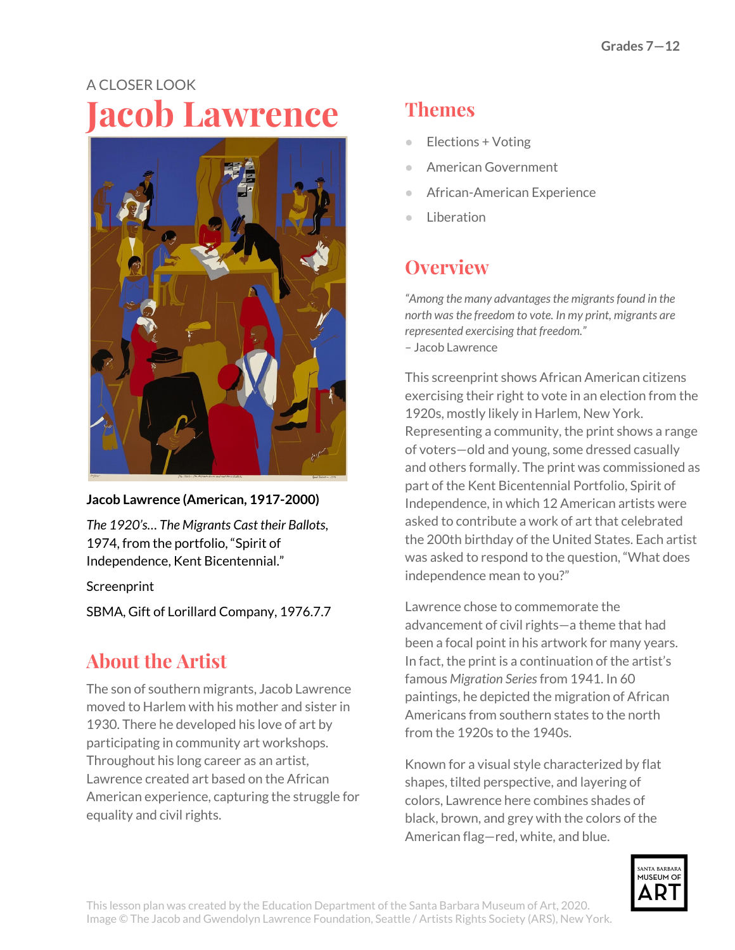# A CLOSER LOOK **Jacob Lawrence**



#### **Jacob Lawrence (American, 1917-2000)**

*The 1920's… The Migrants Cast their Ballots*, 1974, from the portfolio, "Spirit of Independence, Kent Bicentennial."

**Screenprint** 

SBMA, Gift of Lorillard Company, 1976.7.7

#### **About the Artist**

The son of southern migrants, Jacob Lawrence moved to Harlem with his mother and sister in 1930. There he developed his love of art by participating in community art workshops. Throughout his long career as an artist, Lawrence created art based on the African American experience, capturing the struggle for equality and civil rights.

## **Themes**

- Elections + Voting
- American Government
- African-American Experience
- Liberation

## **Overview**

*"Among the many advantagesthe migrantsfound in the north wasthe freedom to vote. In my print, migrants are represented exercising that freedom."* – Jacob Lawrence

This screenprint shows African American citizens exercising their right to vote in an election from the 1920s, mostly likely in Harlem, New York. Representing a community, the print shows a range of voters—old and young, some dressed casually and others formally. The print was commissioned as part of the Kent Bicentennial Portfolio, Spirit of Independence, in which 12 American artists were asked to contribute a work of art that celebrated the 200th birthday of the United States. Each artist was asked to respond to the question, "What does independence mean to you?"

Lawrence chose to commemorate the advancement of civil rights—a theme that had been a focal point in his artwork for many years. In fact, the print is a continuation of the artist's famous *Migration Series*from 1941. In 60 paintings, he depicted the migration of African Americans from southern states to the north from the 1920s to the 1940s.

Known for a visual style characterized by flat shapes, tilted perspective, and layering of colors, Lawrence here combines shades of black, brown, and grey with the colors of the American flag—red, white, and blue.

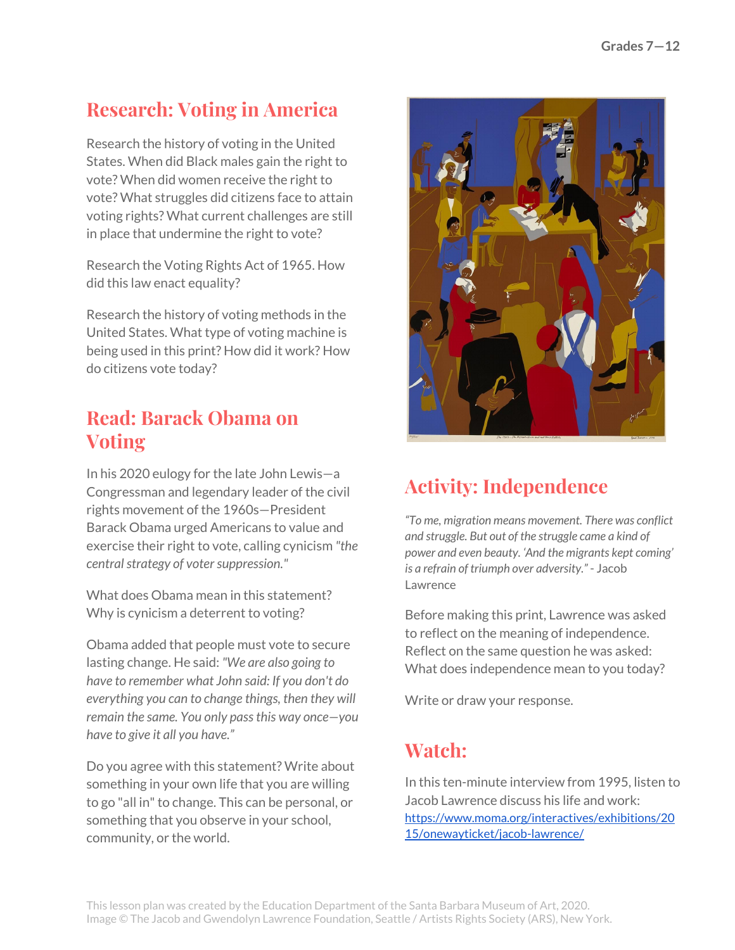### **Research: Voting in America**

Research the history of voting in the United States. When did Black males gain the right to vote? When did women receive the right to vote? What struggles did citizens face to attain voting rights? What current challenges are still in place that undermine the right to vote?

Research the Voting Rights Act of 1965. How did this law enact equality?

Research the history of voting methods in the United States. What type of voting machine is being used in this print? How did it work? How do citizens vote today?

#### **Read: Barack Obama on Voting**

In his 2020 eulogy for the late John Lewis—a Congressman and legendary leader of the civil rights movement of the 1960s—President Barack Obama urged Americans to value and exercise their right to vote, calling cynicism *"the*  $c$ *entral strategy of voter suppression."* 

What does Obama mean in this statement? Why is cynicism a deterrent to voting?

Obama added that people must vote to secure lasting change. He said: *"We are also going to have to remember what John said: If you don't do everything you can to change things, then they will remain the same. You only passthis way once—you have to give it all you have."*

Do you agree with this statement? Write about something in your own life that you are willing to go "all in"to change. This can be personal, or something that you observe in your school, community, or the world.



# **Activity: Independence**

*"To me, migration means movement. There was conflict and struggle. But out of the struggle came a kind of power and even beauty. 'And the migrants kept coming' is a refrain of triumph over adversity."* - Jacob Lawrence

Before making this print, Lawrence was asked to reflect on the meaning of independence. Reflect on the same question he was asked: What does independence mean to you today?

Write or draw your response.

#### **Watch:**

In this ten-minute interview from 1995, listen to Jacob Lawrence discuss his life and work: [https://www.moma.org/interactives/exhibitions/20](https://www.moma.org/interactives/exhibitions/2015/onewayticket/jacob-lawrence/) [15/onewayticket/jacob-lawrence/](https://www.moma.org/interactives/exhibitions/2015/onewayticket/jacob-lawrence/)